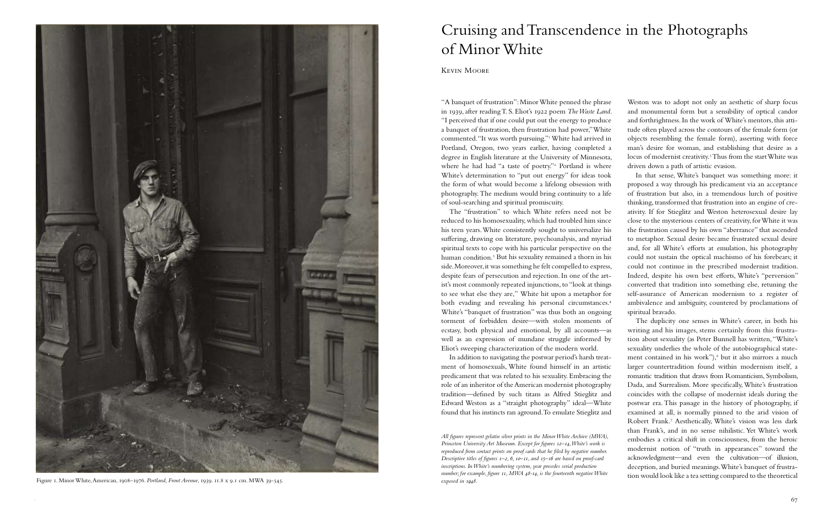"A banquet of frustration": Minor White penned the phrase in 1939, after reading T. S. Eliot's 1922 poem *The Waste Land*. "I perceived that if one could put out the energy to produce a banquet of frustration, then frustration had power," White commented. "It was worth pursuing."1 White had arrived in Portland, Oregon, two years earlier, having completed a degree in English literature at the University of Minnesota, where he had had "a taste of poetry."<sup>2</sup> Portland is where Weston was to adopt not only an aesthetic of sharp focus and monumental form but a sensibility of optical candor and forthrightness. In the work of White's mentors, this attitude often played across the contours of the female form (or objects resembling the female form), asserting with force man's desire for woman, and establishing that desire as a locus of modernist creativity.<sup>5</sup> Thus from the start White was driven down a path of artistic evasion. In that sense, White's banquet was something more: it proposed a way through his predicament via an acceptance of frustration but also, in a tremendous lurch of positive thinking, transformed that frustration into an engine of cre-

## Cruising and Transcendence in the Photographs of Minor White

White's determination to "put out energy" for ideas took the form of what would become a lifelong obsession with photography. The medium would bring continuity to a life of soul-searching and spiritual promiscuity. The "frustration" to which White refers need not be reduced to his homosexuality, which had troubled him since his teen years. White consistently sought to universalize his suffering, drawing on literature, psychoanalysis, and myriad spiritual texts to cope with his particular perspective on the human condition.3 But his sexuality remained a thorn in his side. Moreover, it was something he felt compelled to express, despite fears of persecution and rejection. In one of the artist's most commonly repeated injunctions, to "look at things to see what else they are," White hit upon a metaphor for both evading and revealing his personal circumstances.<sup>4</sup> White's "banquet of frustration" was thus both an ongoing torment of forbidden desire—with stolen moments of ecstasy, both physical and emotional, by all accounts—as well as an expression of mundane struggle informed by Eliot's sweeping characterization of the modern world. ativity. If for Stieglitz and Weston heterosexual desire lay close to the mysterious centers of creativity, for White it was the frustration caused by his own "aberrance" that ascended to metaphor. Sexual desire became frustrated sexual desire and, for all White's efforts at emulation, his photography could not sustain the optical machismo of his forebears; it could not continue in the prescribed modernist tradition. Indeed, despite his own best efforts, White's "perversion" converted that tradition into something else, retuning the self-assurance of American modernism to a register of ambivalence and ambiguity, countered by proclamations of spiritual bravado. The duplicity one senses in White's career, in both his writing and his images, stems certainly from this frustration about sexuality (as Peter Bunnell has written, "White's sexuality underlies the whole of the autobiographical state-

Kevin Moore

In addition to navigating the postwar period's harsh treatment contained in his work"),<sup>6</sup> but it also mirrors a much larger countertradition found within modernism itself, a romantic tradition that draws from Romanticism, Symbolism, Dada, and Surrealism. More specifically, White's frustration coincides with the collapse of modernist ideals during the postwar era. This passage in the history of photography, if examined at all, is normally pinned to the arid vision of Robert Frank.7 Aesthetically, White's vision was less dark than Frank's, and in no sense nihilistic. Yet White's work embodies a critical shift in consciousness, from the heroic modernist notion of "truth in appearances" toward the acknowledgment—and even the cultivation—of illusion, deception, and buried meanings. White's banquet of frustration would look like a tea setting compared to the theoretical

ment of homosexuals, White found himself in an artistic predicament that was related to his sexuality. Embracing the role of an inheritor of the American modernist photography tradition—defined by such titans as Alfred Stieglitz and Edward Weston as a "straight photography" ideal—White found that his instincts ran aground. To emulate Stieglitz and *All figures represent gelatin silver prints in the Minor White Archive (MWA), Princeton University Art Museum. Except for figures 12–14, White's work is reproduced from contact prints on proof cards that he filed by negative number. Descriptive titles of figures 1–2, 6, 10–11, and 15–16 are based on proof-card inscriptions. In White's numbering system, year precedes serial production number; for example, figure 11, MWA 48-14, is the fourteenth negative White* 



Figure 1. Minor White, American, 1908–1976. *Portland, Front Avenue*, 1939. 11.8 x 9.1 cm. MWA 39-545. *exposed in 1948.*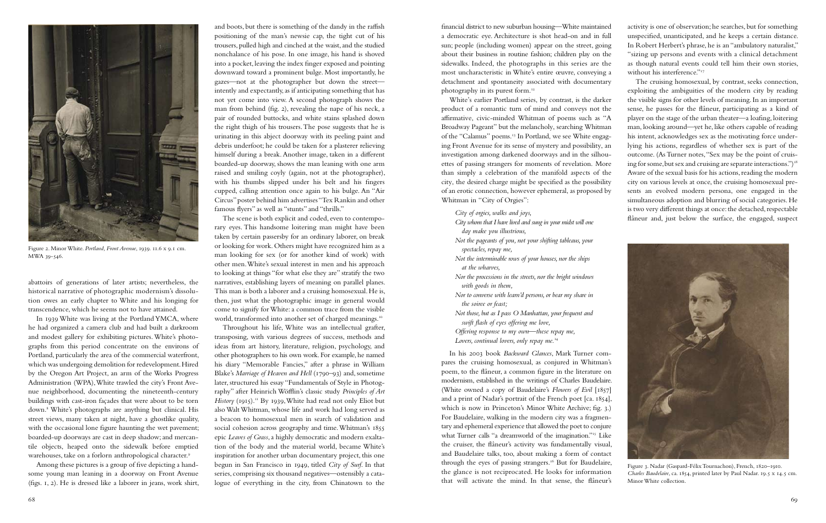The scene is both explicit and coded, even to contemporary eyes. This handsome loitering man might have been taken by certain passersby for an ordinary laborer, on break or looking for work. Others might have recognized him as a man looking for sex (or for another kind of work) with other men. White's sexual interest in men and his approach to looking at things "for what else they are" stratify the two narratives, establishing layers of meaning on parallel planes. This man is both a laborer and a cruising homosexual. He is, then, just what the photographic image in general would come to signify for White: a common trace from the visible world, transformed into another set of charged meanings.<sup>10</sup>

and boots, but there is something of the dandy in the raffish positioning of the man's newsie cap, the tight cut of his trousers, pulled high and cinched at the waist, and the studied nonchalance of his pose. In one image, his hand is shoved into a pocket, leaving the index finger exposed and pointing downward toward a prominent bulge. Most importantly, he gazes—not at the photographer but down the street intently and expectantly, as if anticipating something that has not yet come into view. A second photograph shows the man from behind (fig. 2), revealing the nape of his neck, a pair of rounded buttocks, and white stains splashed down the right thigh of his trousers. The pose suggests that he is urinating in this abject doorway with its peeling paint and debris underfoot; he could be taken for a plasterer relieving himself during a break. Another image, taken in a different boarded-up doorway, shows the man leaning with one arm raised and smiling coyly (again, not at the photographer), with his thumbs slipped under his belt and his fingers cupped, calling attention once again to his bulge. An "Air Circus" poster behind him advertises "Tex Rankin and other famous flyers" as well as "stunts" and "thrills."

Throughout his life, White was an intellectual grafter, transposing, with various degrees of success, methods and ideas from art history, literature, religion, psychology, and other photographers to his own work. For example, he named his diary "Memorable Fancies," after a phrase in William Blake's *Marriage of Heaven and Hell* (1790–93) and, sometime later, structured his essay "Fundamentals of Style in Photography" after Heinrich Wöfflin's classic study *Principles of Art History* (1915).<sup>11</sup> By 1939, White had read not only Eliot but also Walt Whitman, whose life and work had long served as a beacon to homosexual men in search of validation and social cohesion across geography and time. Whitman's 1855 epic *Leaves of Grass*, a highly democratic and modern exaltation of the body and the material world, became White's inspiration for another urban documentary project, this one begun in San Francisco in 1949, titled *City of Surf*. In that series, comprising six thousand negatives—ostensibly a catalogue of everything in the city, from Chinatown to the

In 1939 White was living at the Portland YMCA, where he had organized a camera club and had built a darkroom and modest gallery for exhibiting pictures. White's photographs from this period concentrate on the environs of Portland, particularly the area of the commercial waterfront, which was undergoing demolition for redevelopment. Hired by the Oregon Art Project, an arm of the Works Progress Administration (WPA), White trawled the city's Front Avenue neighborhood, documenting the nineteenth-century buildings with cast-iron façades that were about to be torn down.8 White's photographs are anything but clinical. His street views, many taken at night, have a ghostlike quality, with the occasional lone figure haunting the wet pavement; boarded-up doorways are cast in deep shadow; and mercantile objects, heaped onto the sidewalk before emptied warehouses, take on a forlorn anthropological character.<sup>9</sup>

*City whom that I have lived and sung in your midst will one day make you illustrious, Not the pageants of you, not your shifting tableaus, your spectacles, repay me, Not the interminable rows of your houses, nor the ships at the wharves, Nor the processions in the streets, nor the bright windows with goods in them, Nor to converse with learn'd persons, or bear my share in the soiree or feast; Not those, but as I pass O Manhattan, your frequent and swift flash of eyes offering me love, Offering response to my own—these repay me, Lovers, continual lovers, only repay me.*<sup>14</sup>

financial district to new suburban housing—White maintained a democratic eye. Architecture is shot head-on and in full sun; people (including women) appear on the street, going about their business in routine fashion; children play on the sidewalks. Indeed, the photographs in this series are the most uncharacteristic in White's entire œuvre, conveying a detachment and spontaneity associated with documentary activity is one of observation; he searches, but for something unspecified, unanticipated, and he keeps a certain distance. In Robert Herbert's phrase, he is an "ambulatory naturalist," "sizing up persons and events with a clinical detachment as though natural events could tell him their own stories, without his interference."<sup>17</sup> The cruising homosexual, by contrast, seeks connection,

photography in its purest form.12 White's earlier Portland series, by contrast, is the darker product of a romantic turn of mind and conveys not the affirmative, civic-minded Whitman of poems such as "A Broadway Pageant" but the melancholy, searching Whitman of the "Calamus" poems.<sup>13</sup> In Portland, we see White engaging Front Avenue for its sense of mystery and possibility, an investigation among darkened doorways and in the silhouettes of passing strangers for moments of revelation. More than simply a celebration of the manifold aspects of the city, the desired charge might be specified as the possibility of an erotic connection, however ephemeral, as proposed by Whitman in "City of Orgies": *City of orgies, walks and joys,* exploiting the ambiguities of the modern city by reading the visible signs for other levels of meaning. In an important sense, he passes for the flâneur, participating as a kind of player on the stage of the urban theater—a loafing, loitering man, looking around—yet he, like others capable of reading his intent, acknowledges sex as the motivating force underlying his actions, regardless of whether sex is part of the outcome. (As Turner notes, "Sex may be the point of cruising for some, but sex and cruising are separate interactions.")<sup>18</sup> Aware of the sexual basis for his actions, reading the modern city on various levels at once, the cruising homosexual presents an evolved modern persona, one engaged in the simultaneous adoption and blurring of social categories. He is two very different things at once: the detached, respectable flâneur and, just below the surface, the engaged, suspect

In his 2003 book *Backward Glances*, Mark Turner compares the cruising homosexual, as conjured in Whitman's poem, to the flâneur, a common figure in the literature on modernism, established in the writings of Charles Baudelaire. (White owned a copy of Baudelaire's *Flowers of Evil* [1857] and a print of Nadar's portrait of the French poet [ca. 1854], which is now in Princeton's Minor White Archive; fig. 3.) For Baudelaire, walking in the modern city was a fragmentary and ephemeral experience that allowed the poet to conjure what Turner calls "a dreamworld of the imagination."<sup>15</sup> Like the cruiser, the flâneur's activity was fundamentally visual, and Baudelaire talks, too, about making a form of contact through the eyes of passing strangers.16 But for Baudelaire, the glance is not reciprocated. He looks for information that will activate the mind. In that sense, the flâneur's

abattoirs of generations of later artists; nevertheless, the historical narrative of photographic modernism's dissolution owes an early chapter to White and his longing for transcendence, which he seems not to have attained.

Among these pictures is a group of five depicting a handsome young man leaning in a doorway on Front Avenue (figs. 1, 2). He is dressed like a laborer in jeans, work shirt,



Figure 2. Minor White. *Portland, Front Avenue*, 1939. 11.6 x 9.1 cm. MWA 39-546.



Figure 3. Nadar (Gaspard-Félix Tournachon), French, 1820–1910. *Charles Baudelaire*, ca. 1854, printed later by Paul Nadar. 19.5 x 14.5 cm. Minor White collection.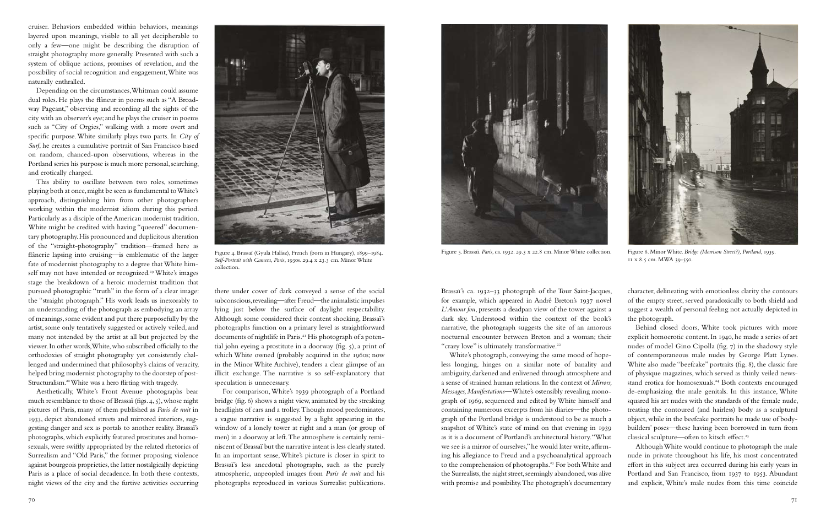cruiser. Behaviors embedded within behaviors, meanings layered upon meanings, visible to all yet decipherable to only a few—one might be describing the disruption of straight photography more generally. Presented with such a system of oblique actions, promises of revelation, and the possibility of social recognition and engagement, White was naturally enthralled.

This ability to oscillate between two roles, sometimes playing both at once, might be seen as fundamental to White's approach, distinguishing him from other photographers working within the modernist idiom during this period. Particularly as a disciple of the American modernist tradition, White might be credited with having "queered" documentary photography. His pronounced and duplicitous alteration of the "straight-photography" tradition—framed here as flânerie lapsing into cruising—is emblematic of the larger fate of modernist photography to a degree that White himself may not have intended or recognized.<sup>19</sup> White's images stage the breakdown of a heroic modernist tradition that pursued photographic "truth" in the form of a clear image: the "straight photograph." His work leads us inexorably to an understanding of the photograph as embodying an array of meanings, some evident and put there purposefully by the artist, some only tentatively suggested or actively veiled, and many not intended by the artist at all but projected by the viewer. In other words, White, who subscribed officially to the orthodoxies of straight photography yet consistently challenged and undermined that philosophy's claims of veracity, helped bring modernist photography to the doorstep of post-Structuralism.<sup>20</sup> White was a hero flirting with tragedy.

Depending on the circumstances, Whitman could assume dual roles. He plays the flâneur in poems such as "A Broadway Pageant," observing and recording all the sights of the city with an observer's eye; and he plays the cruiser in poems such as "City of Orgies," walking with a more overt and specific purpose. White similarly plays two parts. In *City of Surf*, he creates a cumulative portrait of San Francisco based on random, chanced-upon observations, whereas in the Portland series his purpose is much more personal, searching, and erotically charged.

Aesthetically, White's Front Avenue photographs bear much resemblance to those of Brassaï (figs. 4, 5), whose night pictures of Paris, many of them published as *Paris de nuit* in 1933, depict abandoned streets and mirrored interiors, suggesting danger and sex as portals to another reality. Brassaï's photographs, which explicitly featured prostitutes and homosexuals, were swiftly appropriated by the related rhetorics of Surrealism and "Old Paris," the former proposing violence against bourgeois proprieties, the latter nostalgically depicting Paris as a place of social decadence. In both these contexts, night views of the city and the furtive activities occurring

there under cover of dark conveyed a sense of the social subconscious, revealing—after Freud—the animalistic impulses lying just below the surface of daylight respectability. Although some considered their content shocking, Brassaï's photographs function on a primary level as straightforward documents of nightlife in Paris.<sup>21</sup> His photograph of a potential john eyeing a prostitute in a doorway (fig. 5), a print of which White owned (probably acquired in the 1960s; now in the Minor White Archive), tenders a clear glimpse of an illicit exchange. The narrative is so self-explanatory that speculation is unnecessary.

For comparison, White's 1939 photograph of a Portland bridge (fig. 6) shows a night view, animated by the streaking headlights of cars and a trolley. Though mood predominates, a vague narrative is suggested by a light appearing in the window of a lonely tower at right and a man (or group of men) in a doorway at left. The atmosphere is certainly reminiscent of Brassaï but the narrative intent is less clearly stated. In an important sense, White's picture is closer in spirit to Brassaï's less anecdotal photographs, such as the purely atmospheric, unpeopled images from *Paris de nuit* and his photographs reproduced in various Surrealist publications.



Brassaï's ca. 1932–33 photograph of the Tour Saint-Jacques, for example, which appeared in André Breton's 1937 novel *L'Amour fou*, presents a deadpan view of the tower against a dark sky. Understood within the context of the book's narrative, the photograph suggests the site of an amorous nocturnal encounter between Breton and a woman; their "crazy love" is ultimately transformative.<sup>22</sup> character, delineating with emotionless clarity the contours of the empty street, served paradoxically to both shield and suggest a wealth of personal feeling not actually depicted in the photograph. Behind closed doors, White took pictures with more

White's photograph, conveying the same mood of hopeless longing, hinges on a similar note of banality and ambiguity, darkened and enlivened through atmosphere and a sense of strained human relations. In the context of *Mirrors, Messages, Manifestations*—White's ostensibly revealing monograph of 1969, sequenced and edited by White himself and containing numerous excerpts from his diaries—the photograph of the Portland bridge is understood to be as much a snapshot of White's state of mind on that evening in 1939 as it is a document of Portland's architectural history. "What we see is a mirror of ourselves," he would later write, affirming his allegiance to Freud and a psychoanalytical approach to the comprehension of photographs.<sup>23</sup> For both White and the Surrealists, the night street, seemingly abandoned, was alive with promise and possibility. The photograph's documentary explicit homoerotic content. In 1940, he made a series of art nudes of model Gino Cipolla (fig. 7) in the shadowy style of contemporaneous male nudes by George Platt Lynes. White also made "beefcake" portraits (fig. 8), the classic fare of physique magazines, which served as thinly veiled newsstand erotica for homosexuals.<sup>24</sup> Both contexts encouraged de-emphasizing the male genitals. In this instance, White squared his art nudes with the standards of the female nude, treating the contoured (and hairless) body as a sculptural object, while in the beefcake portraits he made use of bodybuilders' poses—these having been borrowed in turn from classical sculpture—often to kitsch effect.<sup>25</sup> Although White would continue to photograph the male nude in private throughout his life, his most concentrated effort in this subject area occurred during his early years in Portland and San Francisco, from 1937 to 1953. Abundant and explicit, White's male nudes from this time coincide



Figure 4. Brassaï (Gyula Halász), French (born in Hungary), 1899–1984. *Self-Portrait with Camera, Paris*, 1930s. 29.4 x 23.3 cm. Minor White collection.



Figure 5. Brassaï. *Paris*, ca. 1932. 29.3 x 22.8 cm. Minor White collection. Figure 6. Minor White. *Bridge (Morrison Street?), Portland*, 1939. 11 x 8.5 cm. MWA 39-550.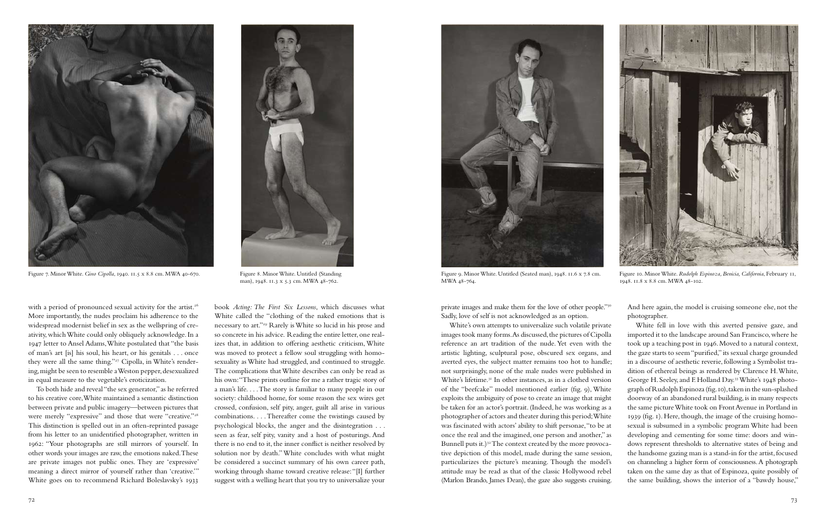with a period of pronounced sexual activity for the artist.<sup>26</sup> More importantly, the nudes proclaim his adherence to the widespread modernist belief in sex as the wellspring of creativity, which White could only obliquely acknowledge. In a 1947 letter to Ansel Adams, White postulated that "the basis of man's art [is] his soul, his heart, or his genitals . . . once they were all the same thing."<sup>27</sup> Cipolla, in White's rendering, might be seen to resemble a Weston pepper, desexualized in equal measure to the vegetable's eroticization.

To both hide and reveal "the sex generator," as he referred to his creative core, White maintained a semantic distinction between private and public imagery—between pictures that were merely "expressive" and those that were "creative."<sup>28</sup> This distinction is spelled out in an often-reprinted passage from his letter to an unidentified photographer, written in 1962: "Your photographs are still mirrors of yourself. In other words your images are raw, the emotions naked. These are private images not public ones. They are 'expressive' meaning a direct mirror of yourself rather than 'creative.'" White goes on to recommend Richard Boleslavsky's 1933

private images and make them for the love of other people."<sup>30</sup> Sadly, love of self is not acknowledged as an option.

book *Acting: The First Six Lessons*, which discusses what White called the "clothing of the naked emotions that is necessary to art."29 Rarely is White so lucid in his prose and so concrete in his advice. Reading the entire letter, one realizes that, in addition to offering aesthetic criticism, White was moved to protect a fellow soul struggling with homosexuality as White had struggled, and continued to struggle. The complications that White describes can only be read as his own: "These prints outline for me a rather tragic story of a man's life. . . . The story is familiar to many people in our society: childhood home, for some reason the sex wires get crossed, confusion, self pity, anger, guilt all arise in various combinations. . . . Thereafter come the twistings caused by psychological blocks, the anger and the disintegration . . . seen as fear, self pity, vanity and a host of posturings. And there is no end to it, the inner conflict is neither resolved by solution nor by death." White concludes with what might be considered a succinct summary of his own career path, working through shame toward creative release: "[I] further suggest with a welling heart that you try to universalize your

White's own attempts to universalize such volatile private images took many forms. As discussed, the pictures of Cipolla reference an art tradition of the nude. Yet even with the artistic lighting, sculptural pose, obscured sex organs, and averted eyes, the subject matter remains too hot to handle; not surprisingly, none of the male nudes were published in White's lifetime.31 In other instances, as in a clothed version of the "beefcake" model mentioned earlier (fig. 9), White exploits the ambiguity of pose to create an image that might be taken for an actor's portrait. (Indeed, he was working as a photographer of actors and theater during this period; White was fascinated with actors' ability to shift personae, "to be at once the real and the imagined, one person and another," as Bunnell puts it.)<sup>32</sup> The context created by the more provocative depiction of this model, made during the same session, particularizes the picture's meaning. Though the model's attitude may be read as that of the classic Hollywood rebel (Marlon Brando, James Dean), the gaze also suggests cruising. White fell in love with this averted pensive gaze, and imported it to the landscape around San Francisco, where he took up a teaching post in 1946. Moved to a natural context, the gaze starts to seem "purified," its sexual charge grounded in a discourse of aesthetic reverie, following a Symbolist tradition of ethereal beings as rendered by Clarence H. White, George H. Seeley, and F. Holland Day.33 White's 1948 photograph of Rudolph Espinoza (fig. 10), taken in the sun-splashed doorway of an abandoned rural building, is in many respects the same picture White took on Front Avenue in Portland in 1939 (fig. 1). Here, though, the image of the cruising homosexual is subsumed in a symbolic program White had been developing and cementing for some time: doors and windows represent thresholds to alternative states of being and the handsome gazing man is a stand-in for the artist, focused on channeling a higher form of consciousness. A photograph taken on the same day as that of Espinoza, quite possibly of the same building, shows the interior of a "bawdy house,"

And here again, the model is cruising someone else, not the photographer.



Figure 7. Minor White. *Gino Cipolla*, 1940. 11.5 x 8.8 cm. MWA 40-670. Figure 8. Minor White. Untitled (Standing



man), 1948. 11.3 x 5.3 cm. MWA 48-762.



Figure 9. Minor White. Untitled (Seated man), 1948. 11.6 x 7.8 cm. MWA 48-764.



Figure 10. Minor White. *Rudolph Espinoza, Benicia, California*, February 11, 1948. 11.8 x 8.8 cm. MWA 48-102.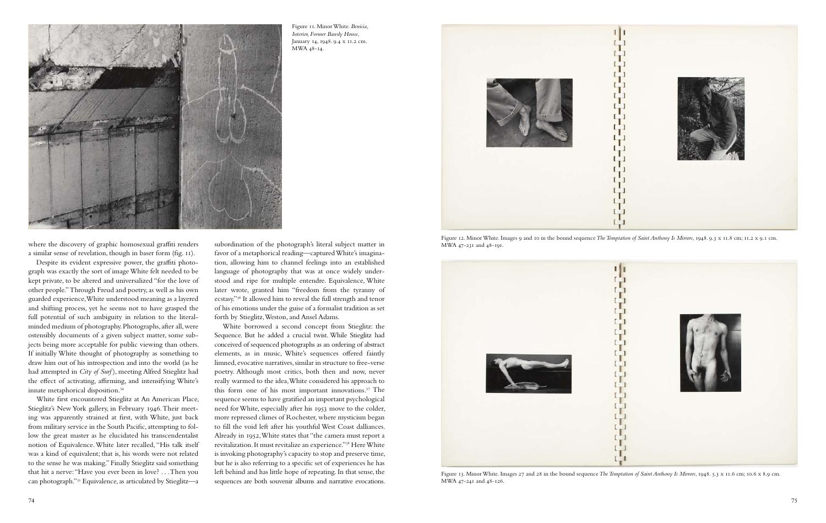

Despite its evident expressive power, the graffiti photograph was exactly the sort of image White felt needed to be kept private, to be altered and universalized "for the love of other people." Through Freud and poetry, as well as his own guarded experience, White understood meaning as a layered and shifting process, yet he seems not to have grasped the full potential of such ambiguity in relation to the literalminded medium of photography. Photographs, after all, were ostensibly documents of a given subject matter, some subjects being more acceptable for public viewing than others. If initially White thought of photography as something to draw him out of his introspection and into the world (as he had attempted in *City of Surf* ), meeting Alfred Stieglitz had the effect of activating, affirming, and intensifying White's innate metaphorical disposition.34

White first encountered Stieglitz at An American Place, Stieglitz's New York gallery, in February 1946. Their meeting was apparently strained at first, with White, just back from military service in the South Pacific, attempting to follow the great master as he elucidated his transcendentalist notion of Equivalence. White later recalled, "His talk itself was a kind of equivalent; that is, his words were not related to the sense he was making." Finally Stieglitz said something that hit a nerve: "Have you ever been in love? . . . Then you can photograph."35 Equivalence, as articulated by Stieglitz—a

subordination of the photograph's literal subject matter in favor of a metaphorical reading—captured White's imagination, allowing him to channel feelings into an established language of photography that was at once widely understood and ripe for multiple entendre. Equivalence, White later wrote, granted him "freedom from the tyranny of ecstasy."36 It allowed him to reveal the full strength and tenor of his emotions under the guise of a formalist tradition as set forth by Stieglitz, Weston, and Ansel Adams.

White borrowed a second concept from Stieglitz: the Sequence. But he added a crucial twist. While Stieglitz had conceived of sequenced photographs as an ordering of abstract elements, as in music, White's sequences offered faintly limned, evocative narratives, similar in structure to free-verse poetry. Although most critics, both then and now, never really warmed to the idea, White considered his approach to this form one of his most important innovations.37 The sequence seems to have gratified an important psychological need for White, especially after his 1953 move to the colder, more repressed climes of Rochester, where mysticism began to fill the void left after his youthful West Coast dalliances. Already in 1952, White states that "the camera must report a revitalization. It must revitalize an experience."38 Here White is invoking photography's capacity to stop and preserve time, but he is also referring to a specific set of experiences he has left behind and has little hope of repeating. In that sense, the sequences are both souvenir albums and narrative evocations.



Figure 13. Minor White. Images 27 and 28 in the bound sequence *The Temptation of Saint Anthony Is Mirrors*, 1948. 5.3 x 11.6 cm; 10.6 x 8.9 cm. MWA 47-241 and 48-126.



Figure 11. Minor White. *Benicia, Interior, Former Bawdy House*, January 14, 1948. 9.4 x 11.2 cm. MWA 48-14.



Figure 12. Minor White. Images 9 and 10 in the bound sequence *The Temptation of Saint Anthony Is Mirrors*, 1948. 9.3 x 11.8 cm; 11.2 x 9.1 cm. MWA 47-231 and 48-191.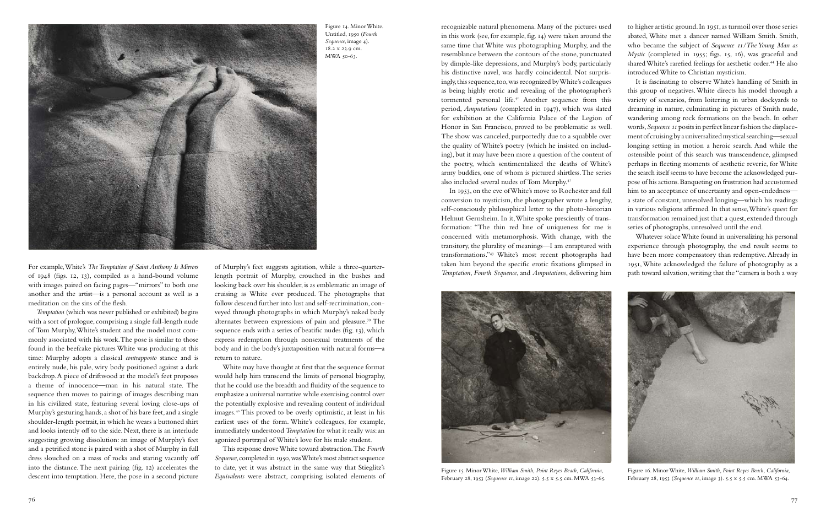76 77

For example, White's *The Temptation of Saint Anthony Is Mirrors* of 1948 (figs. 12, 13), compiled as a hand-bound volume with images paired on facing pages—"mirrors" to both one another and the artist—is a personal account as well as a meditation on the sins of the flesh.

*Temptation* (which was never published or exhibited) begins with a sort of prologue, comprising a single full-length nude of Tom Murphy, White's student and the model most commonly associated with his work. The pose is similar to those found in the beefcake pictures White was producing at this time: Murphy adopts a classical *contrapposto* stance and is entirely nude, his pale, wiry body positioned against a dark backdrop. A piece of driftwood at the model's feet proposes a theme of innocence—man in his natural state. The sequence then moves to pairings of images describing man in his civilized state, featuring several loving close-ups of Murphy's gesturing hands, a shot of his bare feet, and a single shoulder-length portrait, in which he wears a buttoned shirt and looks intently off to the side. Next, there is an interlude suggesting growing dissolution: an image of Murphy's feet and a petrified stone is paired with a shot of Murphy in full dress slouched on a mass of rocks and staring vacantly off into the distance. The next pairing (fig. 12) accelerates the descent into temptation. Here, the pose in a second picture

of Murphy's feet suggests agitation, while a three-quarterlength portrait of Murphy, crouched in the bushes and looking back over his shoulder, is as emblematic an image of cruising as White ever produced. The photographs that follow descend further into lust and self-recrimination, conveyed through photographs in which Murphy's naked body alternates between expressions of pain and pleasure.<sup>39</sup> The sequence ends with a series of beatific nudes (fig. 13), which express redemption through nonsexual treatments of the body and in the body's juxtaposition with natural forms—a return to nature.

White may have thought at first that the sequence format would help him transcend the limits of personal biography, that he could use the breadth and fluidity of the sequence to emphasize a universal narrative while exercising control over the potentially explosive and revealing content of individual images.40 This proved to be overly optimistic, at least in his earliest uses of the form. White's colleagues, for example, immediately understood *Temptation* for what it really was: an agonized portrayal of White's love for his male student.

This response drove White toward abstraction. The *Fourth Sequence*, completed in 1950, was White's most abstract sequence to date, yet it was abstract in the same way that Stieglitz's *Equivalents* were abstract, comprising isolated elements of

concerned with metamorphosis. With change, with the transitory, the plurality of meanings—I am enraptured with transformations."43 White's most recent photographs had taken him beyond the specific erotic fixations glimpsed in *Temptation*, *Fourth Sequence*, and *Amputations*, delivering him

recognizable natural phenomena. Many of the pictures used in this work (see, for example, fig. 14) were taken around the same time that White was photographing Murphy, and the resemblance between the contours of the stone, punctuated by dimple-like depressions, and Murphy's body, particularly his distinctive navel, was hardly coincidental. Not surprisingly, this sequence, too, was recognized by White's colleagues as being highly erotic and revealing of the photographer's tormented personal life.41 Another sequence from this period, *Amputations* (completed in 1947), which was slated for exhibition at the California Palace of the Legion of Honor in San Francisco, proved to be problematic as well. The show was canceled, purportedly due to a squabble over the quality of White's poetry (which he insisted on including), but it may have been more a question of the content of the poetry, which sentimentalized the deaths of White's army buddies, one of whom is pictured shirtless. The series also included several nudes of Tom Murphy.42 In 1953, on the eve of White's move to Rochester and full conversion to mysticism, the photographer wrote a lengthy, self-consciously philosophical letter to the photo-historian Helmut Gernsheim. In it, White spoke presciently of transformation: "The thin red line of uniqueness for me is to higher artistic ground. In 1951, as turmoil over those series abated, White met a dancer named William Smith. Smith, who became the subject of *Sequence 11/The Young Man as Mystic* (completed in 1955; figs. 15, 16), was graceful and shared White's rarefied feelings for aesthetic order.<sup>44</sup> He also introduced White to Christian mysticism. It is fascinating to observe White's handling of Smith in this group of negatives. White directs his model through a variety of scenarios, from loitering in urban dockyards to dreaming in nature, culminating in pictures of Smith nude, wandering among rock formations on the beach. In other words, *Sequence 11* posits in perfect linear fashion the displacement of cruising by a universalized mystical searching—sexual longing setting in motion a heroic search. And while the ostensible point of this search was transcendence, glimpsed perhaps in fleeting moments of aesthetic reverie, for White the search itself seems to have become the acknowledged purpose of his actions. Banqueting on frustration had accustomed him to an acceptance of uncertainty and open-endedness a state of constant, unresolved longing—which his readings in various religions affirmed. In that sense, White's quest for transformation remained just that: a quest, extended through series of photographs, unresolved until the end.

Whatever solace White found in universalizing his personal experience through photography, the end result seems to have been more compensatory than redemptive. Already in 1951, White acknowledged the failure of photography as a path toward salvation, writing that the "camera is both a way



Figure 14. Minor White. Untitled, 1950 (*Fourth Sequence*, image 4). 18.2 x 23.9 cm. MWA 50-63.



Figure 15. Minor White, *William Smith, Point Reyes Beach, California*, February 28, 1953 (*Sequence 11*, image 22). 5.5 x 5.5 cm. MWA 53-65.



Figure 16. Minor White, *William Smith, Point Reyes Beach, California*, February 28, 1953 (*Sequence 11*, image 3). 5.5 x 5.5 cm. MWA 53-64.